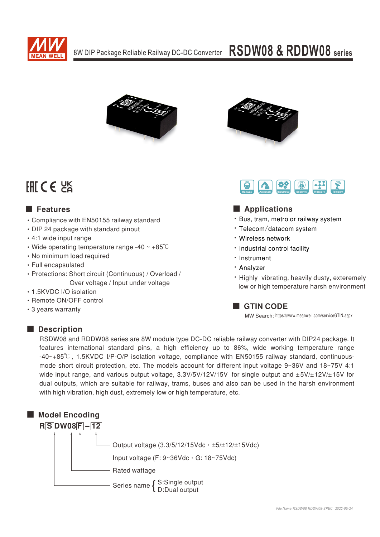



# FHICE PS

## ■ Features

- Compliance with EN50155 railway standard
- DIP 24 package with standard pinout
- 4:1 wide input range
- Wide operating temperature range -40  $\sim$  +85 $\degree$ C
- No minimum load required
- Full encapsulated
- · Protections: Short circuit (Continuous) / Overload / Over voltage / Input under voltage
- 1.5KVDC I/O isolation
- Remote ON/OFF control
- 3 years warranty





## ■ Applications

- \* Bus, tram, metro or railway system
- Telecom/datacom system
- Wireless network
- Industrial control facility
- Instrument
- **· Analyzer**
- Highly vibrating, heavily dusty, exteremely low or high temperature harsh environment

**GTIN CODE** 

MW Search: https://www.meanwell.com/serviceGTIN.aspx

### Description

RSDW08 and RDDW08 series are 8W module type DC-DC reliable railway converter with DIP24 package. It features international standard pins, a high efficiency up to 86%, wide working temperature range -40~+85°C, 1.5KVDC I/P-O/P isolation voltage, compliance with EN50155 railway standard, continuousmode short circuit protection, etc. The models account for different input voltage 9~36V and 18~75V 4:1 wide input range, and various output voltage,  $3.3V/5V/12V/15V$  for single output and  $\pm 5V/\pm 12V/\pm 15V$  for dual outputs, which are suitable for railway, trams, buses and also can be used in the harsh environment with high vibration, high dust, extremely low or high temperature, etc.

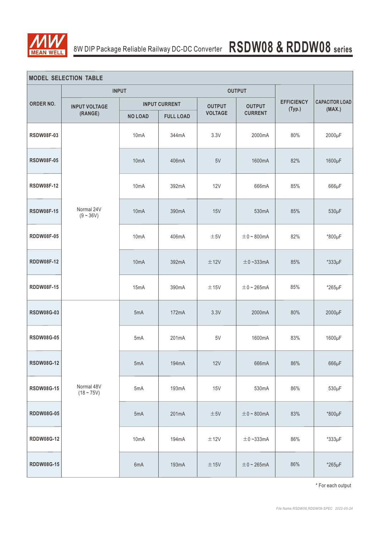

| <b>MODEL SELECTION TABLE</b> |                                   |                      |                  |                         |                 |                             |                       |  |
|------------------------------|-----------------------------------|----------------------|------------------|-------------------------|-----------------|-----------------------------|-----------------------|--|
| ORDER NO.                    | <b>INPUT</b>                      |                      | <b>OUTPUT</b>    |                         |                 |                             |                       |  |
|                              | <b>INPUT VOLTAGE</b><br>(RANGE)   | <b>INPUT CURRENT</b> |                  | <b>OUTPUT</b>           | <b>OUTPUT</b>   | <b>EFFICIENCY</b><br>(Typ.) | <b>CAPACITOR LOAD</b> |  |
|                              |                                   | <b>NO LOAD</b>       | <b>FULL LOAD</b> | <b>VOLTAGE</b>          | <b>CURRENT</b>  |                             | (MAX.)                |  |
| <b>RSDW08F-03</b>            |                                   | 10mA                 | 344mA            | 3.3V                    | 2000mA          | 80%                         | 2000µF                |  |
| <b>RSDW08F-05</b>            |                                   | 10 <sub>m</sub> A    | 406mA            | 5V                      | 1600mA          | 82%                         | 1600µF                |  |
| <b>RSDW08F-12</b>            | Normal 24V<br>$(9 - 36V)$         | 10mA                 | 392mA            | <b>12V</b>              | 666mA           | 85%                         | $666\mu F$            |  |
| <b>RSDW08F-15</b>            |                                   | 10 <sub>m</sub> A    | 390mA            | 15V<br>530mA            |                 | 85%                         | $530\mu F$            |  |
| <b>RDDW08F-05</b>            |                                   | 10mA                 | 406mA            | ±5V                     | $\pm$ 0 ~ 800mA |                             | *800µF                |  |
| <b>RDDW08F-12</b>            |                                   | 10 <sub>m</sub> A    | 392mA            | ±12V                    | $\pm$ 0~333mA   | 85%                         | *333µF                |  |
| <b>RDDW08F-15</b>            |                                   | 15mA                 | 390mA            | ±15V<br>$\pm$ 0 ~ 265mA |                 | 85%                         | $*265\mu F$           |  |
| <b>RSDW08G-03</b>            |                                   | 5mA                  | 172mA            | 3.3V                    | 2000mA          | 80%                         | 2000µF                |  |
| <b>RSDW08G-05</b>            |                                   | 5mA                  | 201mA            | 5V                      | 1600mA          | 83%                         | 1600µF                |  |
| <b>RSDW08G-12</b>            |                                   | 5mA                  | 194mA            | 12V                     | 666mA           | 86%                         | $666\mu F$            |  |
| <b>RSDW08G-15</b>            | Normal 48V<br>5mA<br>$(18 - 75V)$ |                      | 193mA            | 15V                     | 530mA           | 86%                         | $530\mu F$            |  |
| <b>RDDW08G-05</b>            |                                   | 5mA                  | 201mA            | $\pm 5\mathrm{V}$       | $\pm$ 0 ~ 800mA | 83%                         | *800µF                |  |
| RDDW08G-12                   |                                   | 10mA                 | 194mA            | $\pm$ 12V               | $\pm$ 0~333mA   | 86%                         | *333µF                |  |
| <b>RDDW08G-15</b>            |                                   | 6mA                  | 193mA            | ±15V                    | $\pm$ 0 ~ 265mA | 86%                         | *265µF                |  |

\* For each output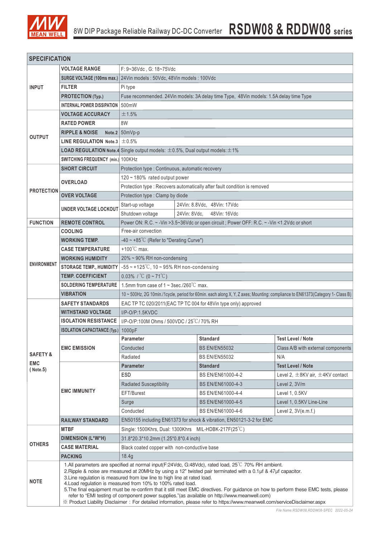

| <b>SPECIFICATION</b>    |                                                                                                                                                                                                                                                                                                                                                                                                                                                                                                                                                                                                                                                                                                                                    |                                                                                                                               |                                                                                               |                                                                      |                                           |  |  |  |  |
|-------------------------|------------------------------------------------------------------------------------------------------------------------------------------------------------------------------------------------------------------------------------------------------------------------------------------------------------------------------------------------------------------------------------------------------------------------------------------------------------------------------------------------------------------------------------------------------------------------------------------------------------------------------------------------------------------------------------------------------------------------------------|-------------------------------------------------------------------------------------------------------------------------------|-----------------------------------------------------------------------------------------------|----------------------------------------------------------------------|-------------------------------------------|--|--|--|--|
|                         | <b>VOLTAGE RANGE</b>                                                                                                                                                                                                                                                                                                                                                                                                                                                                                                                                                                                                                                                                                                               | F: 9~36Vdc, G: 18~75Vdc                                                                                                       |                                                                                               |                                                                      |                                           |  |  |  |  |
|                         | <b>SURGE VOLTAGE (100ms max.)</b>                                                                                                                                                                                                                                                                                                                                                                                                                                                                                                                                                                                                                                                                                                  | 24Vin models: 50Vdc, 48Vin models: 100Vdc                                                                                     |                                                                                               |                                                                      |                                           |  |  |  |  |
| <b>INPUT</b>            | <b>FILTER</b>                                                                                                                                                                                                                                                                                                                                                                                                                                                                                                                                                                                                                                                                                                                      | Pi type                                                                                                                       |                                                                                               |                                                                      |                                           |  |  |  |  |
|                         | <b>PROTECTION (Typ.)</b>                                                                                                                                                                                                                                                                                                                                                                                                                                                                                                                                                                                                                                                                                                           | Fuse recommended. 24Vin models: 3A delay time Type, 48Vin models: 1.5A delay time Type                                        |                                                                                               |                                                                      |                                           |  |  |  |  |
|                         | INTERNAL POWER DISSIPATION                                                                                                                                                                                                                                                                                                                                                                                                                                                                                                                                                                                                                                                                                                         | 500mW                                                                                                                         |                                                                                               |                                                                      |                                           |  |  |  |  |
|                         | <b>VOLTAGE ACCURACY</b>                                                                                                                                                                                                                                                                                                                                                                                                                                                                                                                                                                                                                                                                                                            | ±1.5%                                                                                                                         |                                                                                               |                                                                      |                                           |  |  |  |  |
| <b>OUTPUT</b>           | <b>RATED POWER</b>                                                                                                                                                                                                                                                                                                                                                                                                                                                                                                                                                                                                                                                                                                                 | 8W                                                                                                                            |                                                                                               |                                                                      |                                           |  |  |  |  |
|                         | <b>RIPPLE &amp; NOISE</b>                                                                                                                                                                                                                                                                                                                                                                                                                                                                                                                                                                                                                                                                                                          | Note.2 $ 50mVp-p$                                                                                                             |                                                                                               |                                                                      |                                           |  |  |  |  |
|                         | LINE REGULATION Note.3 $\pm$ 0.5%                                                                                                                                                                                                                                                                                                                                                                                                                                                                                                                                                                                                                                                                                                  |                                                                                                                               |                                                                                               |                                                                      |                                           |  |  |  |  |
|                         | <b>LOAD REGULATION Note.4</b> Single output models: $\pm 0.5$ %, Dual output models: $\pm 1$ %                                                                                                                                                                                                                                                                                                                                                                                                                                                                                                                                                                                                                                     |                                                                                                                               |                                                                                               |                                                                      |                                           |  |  |  |  |
|                         | SWITCHING FREQUENCY (min.) 100KHz                                                                                                                                                                                                                                                                                                                                                                                                                                                                                                                                                                                                                                                                                                  |                                                                                                                               |                                                                                               |                                                                      |                                           |  |  |  |  |
|                         | <b>SHORT CIRCUIT</b>                                                                                                                                                                                                                                                                                                                                                                                                                                                                                                                                                                                                                                                                                                               | Protection type : Continuous, automatic recovery                                                                              |                                                                                               |                                                                      |                                           |  |  |  |  |
| <b>PROTECTION</b>       |                                                                                                                                                                                                                                                                                                                                                                                                                                                                                                                                                                                                                                                                                                                                    | 120 ~ 180% rated output power                                                                                                 |                                                                                               |                                                                      |                                           |  |  |  |  |
|                         | <b>OVERLOAD</b>                                                                                                                                                                                                                                                                                                                                                                                                                                                                                                                                                                                                                                                                                                                    | Protection type : Recovers automatically after fault condition is removed                                                     |                                                                                               |                                                                      |                                           |  |  |  |  |
|                         | <b>OVER VOLTAGE</b>                                                                                                                                                                                                                                                                                                                                                                                                                                                                                                                                                                                                                                                                                                                | Protection type : Clamp by diode                                                                                              |                                                                                               |                                                                      |                                           |  |  |  |  |
|                         |                                                                                                                                                                                                                                                                                                                                                                                                                                                                                                                                                                                                                                                                                                                                    | Start-up voltage<br>24Vin: 8.8Vdc, 48Vin: 17Vdc                                                                               |                                                                                               |                                                                      |                                           |  |  |  |  |
|                         | UNDER VOLTAGE LOCKOUT                                                                                                                                                                                                                                                                                                                                                                                                                                                                                                                                                                                                                                                                                                              | 24Vin: 8Vdc,<br>48Vin: 16Vdc<br>Shutdown voltage                                                                              |                                                                                               |                                                                      |                                           |  |  |  |  |
| <b>FUNCTION</b>         | <b>REMOTE CONTROL</b>                                                                                                                                                                                                                                                                                                                                                                                                                                                                                                                                                                                                                                                                                                              |                                                                                                                               | Power ON: R.C. ~ - Vin > 3.5~36Vdc or open circuit; Power OFF: R.C. ~ - Vin < 1.2Vdc or short |                                                                      |                                           |  |  |  |  |
|                         | <b>COOLING</b>                                                                                                                                                                                                                                                                                                                                                                                                                                                                                                                                                                                                                                                                                                                     | Free-air convection                                                                                                           |                                                                                               |                                                                      |                                           |  |  |  |  |
|                         | <b>WORKING TEMP.</b>                                                                                                                                                                                                                                                                                                                                                                                                                                                                                                                                                                                                                                                                                                               | -40 ~ +85°C (Refer to "Derating Curve")                                                                                       |                                                                                               |                                                                      |                                           |  |  |  |  |
|                         | <b>CASE TEMPERATURE</b>                                                                                                                                                                                                                                                                                                                                                                                                                                                                                                                                                                                                                                                                                                            | +100 $^{\circ}$ C max.                                                                                                        |                                                                                               |                                                                      |                                           |  |  |  |  |
|                         | <b>WORKING HUMIDITY</b>                                                                                                                                                                                                                                                                                                                                                                                                                                                                                                                                                                                                                                                                                                            | 20% ~ 90% RH non-condensing                                                                                                   |                                                                                               |                                                                      |                                           |  |  |  |  |
| <b>ENVIRONMENT</b>      | <b>STORAGE TEMP., HUMIDITY</b>                                                                                                                                                                                                                                                                                                                                                                                                                                                                                                                                                                                                                                                                                                     | $-55 \sim +125^{\circ}$ C, 10 ~ 95% RH non-condensing                                                                         |                                                                                               |                                                                      |                                           |  |  |  |  |
|                         | <b>TEMP. COEFFICIENT</b>                                                                                                                                                                                                                                                                                                                                                                                                                                                                                                                                                                                                                                                                                                           | 0.03% / $^{\circ}C$ (0 ~ 71 $^{\circ}C$ )                                                                                     |                                                                                               |                                                                      |                                           |  |  |  |  |
|                         | <b>SOLDERING TEMPERATURE</b>                                                                                                                                                                                                                                                                                                                                                                                                                                                                                                                                                                                                                                                                                                       | 1.5mm from case of $1 \sim 3$ sec./260 $\degree$ C max.                                                                       |                                                                                               |                                                                      |                                           |  |  |  |  |
|                         | <b>VIBRATION</b>                                                                                                                                                                                                                                                                                                                                                                                                                                                                                                                                                                                                                                                                                                                   | 10 ~ 500Hz, 2G 10min./1cycle, period for 60min. each along X, Y, Z axes; Mounting: compliance to EN61373(Category 1- Class B) |                                                                                               |                                                                      |                                           |  |  |  |  |
|                         | <b>SAFETY STANDARDS</b>                                                                                                                                                                                                                                                                                                                                                                                                                                                                                                                                                                                                                                                                                                            |                                                                                                                               | EAC TP TC 020/2011(EAC TP TC 004 for 48Vin type only) approved                                |                                                                      |                                           |  |  |  |  |
|                         | <b>WITHSTAND VOLTAGE</b>                                                                                                                                                                                                                                                                                                                                                                                                                                                                                                                                                                                                                                                                                                           | $I/P$ -O/P:1.5KVDC                                                                                                            |                                                                                               |                                                                      |                                           |  |  |  |  |
|                         | <b>ISOLATION RESISTANCE</b>                                                                                                                                                                                                                                                                                                                                                                                                                                                                                                                                                                                                                                                                                                        | I/P-O/P:100M Ohms / 500VDC / 25°C/70% RH                                                                                      |                                                                                               |                                                                      |                                           |  |  |  |  |
|                         | <b>ISOLATION CAPACITANCE (Typ.)</b>                                                                                                                                                                                                                                                                                                                                                                                                                                                                                                                                                                                                                                                                                                | 1000pF                                                                                                                        |                                                                                               |                                                                      |                                           |  |  |  |  |
|                         | <b>EMC EMISSION</b>                                                                                                                                                                                                                                                                                                                                                                                                                                                                                                                                                                                                                                                                                                                | Parameter                                                                                                                     |                                                                                               | <b>Standard</b>                                                      | <b>Test Level / Note</b>                  |  |  |  |  |
| <b>SAFETY &amp;</b>     |                                                                                                                                                                                                                                                                                                                                                                                                                                                                                                                                                                                                                                                                                                                                    | Conducted                                                                                                                     |                                                                                               | <b>BS EN/EN55032</b>                                                 | Class A/B with external components        |  |  |  |  |
|                         |                                                                                                                                                                                                                                                                                                                                                                                                                                                                                                                                                                                                                                                                                                                                    | Radiated                                                                                                                      |                                                                                               | <b>BS EN/EN55032</b>                                                 | N/A                                       |  |  |  |  |
| <b>EMC</b><br>( Note.5) |                                                                                                                                                                                                                                                                                                                                                                                                                                                                                                                                                                                                                                                                                                                                    | <b>Parameter</b>                                                                                                              |                                                                                               | <b>Standard</b>                                                      | <b>Test Level / Note</b>                  |  |  |  |  |
|                         |                                                                                                                                                                                                                                                                                                                                                                                                                                                                                                                                                                                                                                                                                                                                    | <b>ESD</b>                                                                                                                    |                                                                                               | BS EN/EN61000-4-2                                                    | Level 2, $\pm$ 8KV air, $\pm$ 4KV contact |  |  |  |  |
|                         | <b>EMC IMMUNITY</b>                                                                                                                                                                                                                                                                                                                                                                                                                                                                                                                                                                                                                                                                                                                | <b>Radiated Susceptibility</b>                                                                                                |                                                                                               | BS EN/EN61000-4-3                                                    | Level 2, 3V/m                             |  |  |  |  |
|                         |                                                                                                                                                                                                                                                                                                                                                                                                                                                                                                                                                                                                                                                                                                                                    | EFT/Burest                                                                                                                    |                                                                                               | BS EN/EN61000-4-4                                                    | Level 1, 0.5KV                            |  |  |  |  |
|                         |                                                                                                                                                                                                                                                                                                                                                                                                                                                                                                                                                                                                                                                                                                                                    | Surge                                                                                                                         |                                                                                               | BS EN/EN61000-4-5                                                    | Level 1, 0.5KV Line-Line                  |  |  |  |  |
|                         |                                                                                                                                                                                                                                                                                                                                                                                                                                                                                                                                                                                                                                                                                                                                    | Conducted                                                                                                                     |                                                                                               | BS EN/EN61000-4-6                                                    | Level 2, 3V(e.m.f.)                       |  |  |  |  |
|                         | <b>RAILWAY STANDARD</b>                                                                                                                                                                                                                                                                                                                                                                                                                                                                                                                                                                                                                                                                                                            |                                                                                                                               |                                                                                               | EN50155 including EN61373 for shock & vibration, EN50121-3-2 for EMC |                                           |  |  |  |  |
|                         | <b>MTBF</b>                                                                                                                                                                                                                                                                                                                                                                                                                                                                                                                                                                                                                                                                                                                        | Single: 1500Khrs, Dual: 1300Khrs MIL-HDBK-217F(25°C)                                                                          |                                                                                               |                                                                      |                                           |  |  |  |  |
|                         | <b>DIMENSION (L*W*H)</b>                                                                                                                                                                                                                                                                                                                                                                                                                                                                                                                                                                                                                                                                                                           | 31.8*20.3*10.2mm (1.25*0.8*0.4 inch)                                                                                          |                                                                                               |                                                                      |                                           |  |  |  |  |
| <b>OTHERS</b>           | <b>CASE MATERIAL</b>                                                                                                                                                                                                                                                                                                                                                                                                                                                                                                                                                                                                                                                                                                               | Black coated copper with non-conductive base                                                                                  |                                                                                               |                                                                      |                                           |  |  |  |  |
|                         | <b>PACKING</b>                                                                                                                                                                                                                                                                                                                                                                                                                                                                                                                                                                                                                                                                                                                     | 18.4g                                                                                                                         |                                                                                               |                                                                      |                                           |  |  |  |  |
| <b>NOTE</b>             | 1.All parameters are specified at normal input(F:24Vdc, G:48Vdc), rated load, 25°C 70% RH ambient.<br>2. Ripple & noise are measured at 20MHz by using a 12" twisted pair terminated with a 0.1µf & 47µf capacitor.<br>3. Line regulation is measured from low line to high line at rated load.<br>4. Load regulation is measured from 10% to 100% rated load.<br>5. The final equipment must be re-confirm that it still meet EMC directives. For guidance on how to perform these EMC tests, please<br>refer to "EMI testing of component power supplies."(as available on http://www.meanwell.com)<br>X Product Liability Disclaimer: For detailed information, please refer to https://www.meanwell.com/serviceDisclaimer.aspx |                                                                                                                               |                                                                                               |                                                                      |                                           |  |  |  |  |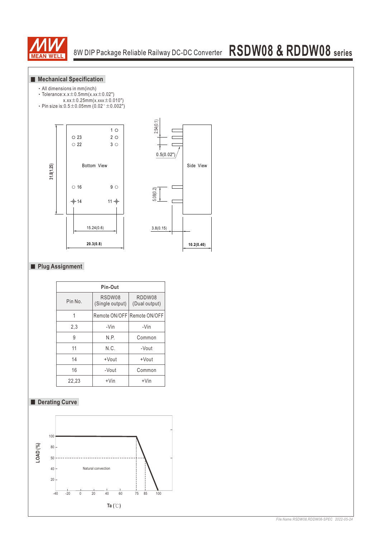

# 8W DIP Package Reliable Railway DC-DC Converter **RSDW08 & RDDW08 series**

#### **Mechanical Specification**

- ‧All dimensions in mm(inch)
- Tolerance: $x.x \pm 0.5$ mm $(x.xx \pm 0.02")$
- $x.xx \pm 0.25$ mm(x.xxx $\pm 0.010$ ")
- Pin size is: $0.5 \pm 0.05$ mm (0.02" $\pm 0.002$ ")





#### **Plug Assignment**

| Pin-Out |                           |                             |  |  |  |  |
|---------|---------------------------|-----------------------------|--|--|--|--|
| Pin No. | RSDW08<br>(Single output) | RDDW08<br>(Dual output)     |  |  |  |  |
|         |                           | Remote ON/OFF Remote ON/OFF |  |  |  |  |
| 2,3     | $-Vin$                    | -Vin                        |  |  |  |  |
| 9       | N.P.                      | Common                      |  |  |  |  |
| 11      | N.C.                      | -Vout                       |  |  |  |  |
| 14      | +Vout                     | +Vout                       |  |  |  |  |
| 16      | -Vout                     | Common                      |  |  |  |  |
| 22,23   | $+V$ in                   | $+V$ in                     |  |  |  |  |

#### **Derating Curve**

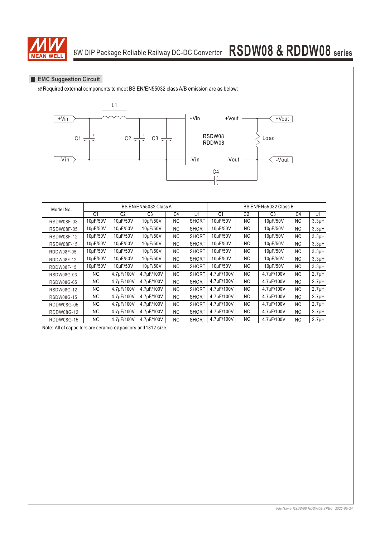

## 8W DIP Package Reliable Railway DC-DC Converter **RSDW08 & RDDW08 series**

#### **EMC Suggestion Circuit**

※Required external components to meet BS EN/EN55032 class A/B emission are as below:



| Model No.         | BS EN/EN55032 Class A |            |            |                | BS EN/EN55032 Class B |                |                |                |                |                    |
|-------------------|-----------------------|------------|------------|----------------|-----------------------|----------------|----------------|----------------|----------------|--------------------|
|                   | C <sub>1</sub>        | C2         | C3         | C <sub>4</sub> | L1                    | C <sub>1</sub> | C <sub>2</sub> | C <sub>3</sub> | C <sub>4</sub> | L1                 |
| <b>RSDW08F-03</b> | 10µF/50V              | 10µF/50V   | 10µF/50V   | NC.            | <b>SHORT</b>          | 10µF/50V       | <b>NC</b>      | 10µF/50V       | NC.            | 3.3 <sub>µ</sub> H |
| <b>RSDW08F-05</b> | 10µF/50V              | 10µF/50V   | 10uF/50V   | NC.            | <b>SHORT</b>          | 10uF/50V       | <b>NC</b>      | 10uF/50V       | NC.            | $3.3\mu$ H         |
| <b>RSDW08F-12</b> | 10µF/50V              | 10µF/50V   | 10µF/50V   | NC.            | <b>SHORT</b>          | 10µF/50V       | <b>NC</b>      | 10µF/50V       | NC.            | 3.3 <sub>µ</sub> H |
| <b>RSDW08F-15</b> | 10µF/50V              | 10uF/50V   | 10uF/50V   | NC.            | <b>SHORT</b>          | 10uF/50V       | NC.            | 10uF/50V       | NC.            | 3.3 <sub>µ</sub> H |
| RDDW08F-05        | 10µF/50V              | 10µF/50V   | 10uF/50V   | NC.            | <b>SHORT</b>          | 10uF/50V       | <b>NC</b>      | 10uF/50V       | NC.            | 3.3 <sub>µ</sub> H |
| RDDW08F-12        | 10µF/50V              | 10µF/50V   | 10µF/50V   | NC.            | <b>SHORT</b>          | 10µF/50V       | <b>NC</b>      | 10µF/50V       | NC.            | $3.3\mu$ H         |
| RDDW08F-15        | 10µF/50V              | 10µF/50V   | 10uF/50V   | NC.            | <b>SHORT</b>          | 10µF/50V       | NC.            | 10µF/50V       | NC.            | 3.3 <sub>µ</sub> H |
| RSDW08G-03        | ΝC                    | 4.7µF/100V | 4.7µF/100V | NC.            | <b>SHORT</b>          | 4.7µF/100V     | <b>NC</b>      | 4.7µF/100V     | NC.            | 2.7 <sub>µ</sub> H |
| RSDW08G-05        | ΝC                    | 4.7µF/100V | 4.7µF/100V | NC.            | <b>SHORT</b>          | 4.7µF/100V     | <b>NC</b>      | 4.7µF/100V     | NC.            | $2.7\muH$          |
| <b>RSDW08G-12</b> | ΝC                    | 4.7µF/100V | 4.7µF/100V | NC.            | <b>SHORT</b>          | 4.7µF/100V     | <b>NC</b>      | 4.7µF/100V     | NC.            | 2.7 <sub>µ</sub> H |
| RSDW08G-15        | ΝC                    | 4.7µF/100V | 4.7uF/100V | NC.            | <b>SHORT</b>          | 4.7µF/100V     | <b>NC</b>      | 4.7µF/100V     | NC.            | 2.7 <sub>µ</sub> H |
| RDDW08G-05        | ΝC                    | 4.7µF/100V | 4.7µF/100V | NC.            | <b>SHORT</b>          | 4.7µF/100V     | <b>NC</b>      | 4.7µF/100V     | NC.            | $2.7\muH$          |
| RDDW08G-12        | ΝC                    | 4.7µF/100V | 4.7µF/100V | NC.            | <b>SHORT</b>          | 4.7µF/100V     | <b>NC</b>      | 4.7uF/100V     | NC.            | 2.7 <sub>µ</sub> H |
| RDDW08G-15        | ΝC                    | 4.7µF/100V | 4.7µF/100V | NC.            | <b>SHORT</b>          | 4.7µF/100V     | <b>NC</b>      | 4.7uF/100V     | NC.            | 2.7 <sub>µ</sub> H |

Note: All of capacitors are ceramic capacitors and 1812 size.